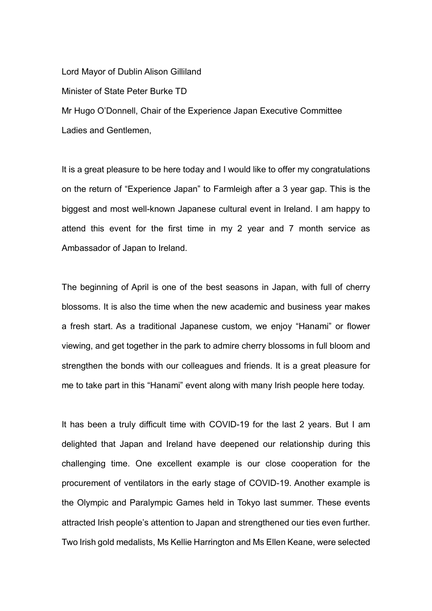Lord Mayor of Dublin Alison Gilliland Minister of State Peter Burke TD Mr Hugo O'Donnell, Chair of the Experience Japan Executive Committee Ladies and Gentlemen,

It is a great pleasure to be here today and I would like to offer my congratulations on the return of "Experience Japan" to Farmleigh after a 3 year gap. This is the biggest and most well-known Japanese cultural event in Ireland. I am happy to attend this event for the first time in my 2 year and 7 month service as Ambassador of Japan to Ireland.

The beginning of April is one of the best seasons in Japan, with full of cherry blossoms. It is also the time when the new academic and business year makes a fresh start. As a traditional Japanese custom, we enjoy "Hanami" or flower viewing, and get together in the park to admire cherry blossoms in full bloom and strengthen the bonds with our colleagues and friends. It is a great pleasure for me to take part in this "Hanami" event along with many Irish people here today.

It has been a truly difficult time with COVID-19 for the last 2 years. But I am delighted that Japan and Ireland have deepened our relationship during this challenging time. One excellent example is our close cooperation for the procurement of ventilators in the early stage of COVID-19. Another example is the Olympic and Paralympic Games held in Tokyo last summer. These events attracted Irish people's attention to Japan and strengthened our ties even further. Two Irish gold medalists, Ms Kellie Harrington and Ms Ellen Keane, were selected